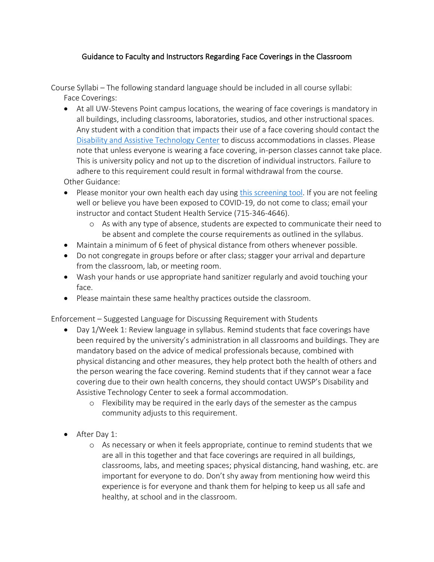## Guidance to Faculty and Instructors Regarding Face Coverings in the Classroom

Course Syllabi – The following standard language should be included in all course syllabi: Face Coverings:

- At all UW-Stevens Point campus locations, the wearing of face coverings is mandatory in all buildings, including classrooms, laboratories, studios, and other instructional spaces. Any student with a condition that impacts their use of a face covering should contact the [Disability and Assistive Technology Center](https://www.uwsp.edu/datc/Pages/default.aspx) to discuss accommodations in classes. Please note that unless everyone is wearing a face covering, in-person classes cannot take place. This is university policy and not up to the discretion of individual instructors. Failure to adhere to this requirement could result in formal withdrawal from the course. Other Guidance:
- Please monitor your own health each day using [this screening tool.](https://www.uwsp.edu/C19DailyScreening) If you are not feeling well or believe you have been exposed to COVID-19, do not come to class; email your instructor and contact Student Health Service (715-346-4646).
	- o As with any type of absence, students are expected to communicate their need to be absent and complete the course requirements as outlined in the syllabus.
- Maintain a minimum of 6 feet of physical distance from others whenever possible.
- Do not congregate in groups before or after class; stagger your arrival and departure from the classroom, lab, or meeting room.
- Wash your hands or use appropriate hand sanitizer regularly and avoid touching your face.
- Please maintain these same healthy practices outside the classroom.

Enforcement – Suggested Language for Discussing Requirement with Students

- Day 1/Week 1: Review language in syllabus. Remind students that face coverings have been required by the university's administration in all classrooms and buildings. They are mandatory based on the advice of medical professionals because, combined with physical distancing and other measures, they help protect both the health of others and the person wearing the face covering. Remind students that if they cannot wear a face covering due to their own health concerns, they should contact UWSP's Disability and Assistive Technology Center to seek a formal accommodation.
	- o Flexibility may be required in the early days of the semester as the campus community adjusts to this requirement.
- After Day 1:
	- o As necessary or when it feels appropriate, continue to remind students that we are all in this together and that face coverings are required in all buildings, classrooms, labs, and meeting spaces; physical distancing, hand washing, etc. are important for everyone to do. Don't shy away from mentioning how weird this experience is for everyone and thank them for helping to keep us all safe and healthy, at school and in the classroom.